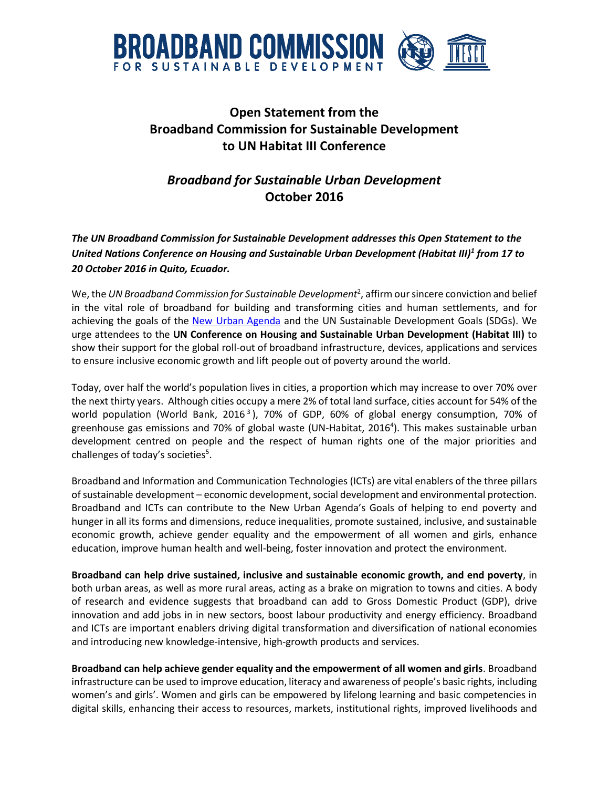

## **Open Statement from the Broadband Commission for Sustainable Development to UN Habitat III Conference**

## *Broadband for Sustainable Urban Development* **October 2016**

*The UN Broadband Commission for Sustainable Development addresses this Open Statement to the United Nations Conference on Housing and Sustainable Urban Development (Habitat III)<sup>1</sup> from 17 to 20 October 2016 in Quito, Ecuador.*

We, the *UN Broadband Commission for Sustainable Development*<sup>2</sup> , affirm our sincere conviction and belief in the vital role of broadband for building and transforming cities and human settlements, and for achieving the goals of the [New Urban Agenda](https://www.habitat3.org/bitcache/b581c7d6129c25b03b0102e2a7e5e175e9019535?vid=586129&disposition=inline&op=view) and the UN Sustainable Development Goals (SDGs). We urge attendees to the **UN Conference on Housing and Sustainable Urban Development (Habitat III)** to show their support for the global roll-out of broadband infrastructure, devices, applications and services to ensure inclusive economic growth and lift people out of poverty around the world.

Today, over half the world's population lives in cities, a proportion which may increase to over 70% over the next thirty years. Although cities occupy a mere 2% of total land surface, cities account for 54% of the world population (World Bank, 2016<sup>3</sup>), 70% of GDP, 60% of global energy consumption, 70% of greenhouse gas emissions and 70% of global waste (UN-Habitat, 2016<sup>4</sup> ). This makes sustainable urban development centred on people and the respect of human rights one of the major priorities and challenges of today's societies<sup>5</sup>.

Broadband and Information and Communication Technologies (ICTs) are vital enablers of the three pillars of sustainable development – economic development, social development and environmental protection. Broadband and ICTs can contribute to the New Urban Agenda's Goals of helping to end poverty and hunger in all its forms and dimensions, reduce inequalities, promote sustained, inclusive, and sustainable economic growth, achieve gender equality and the empowerment of all women and girls, enhance education, improve human health and well-being, foster innovation and protect the environment.

**Broadband can help drive sustained, inclusive and sustainable economic growth, and end poverty**, in both urban areas, as well as more rural areas, acting as a brake on migration to towns and cities. A body of research and evidence suggests that broadband can add to Gross Domestic Product (GDP), drive innovation and add jobs in in new sectors, boost labour productivity and energy efficiency. Broadband and ICTs are important enablers driving digital transformation and diversification of national economies and introducing new knowledge-intensive, high-growth products and services.

**Broadband can help achieve gender equality and the empowerment of all women and girls**. Broadband infrastructure can be used to improve education, literacy and awareness of people's basic rights, including women's and girls'. Women and girls can be empowered by lifelong learning and basic competencies in digital skills, enhancing their access to resources, markets, institutional rights, improved livelihoods and